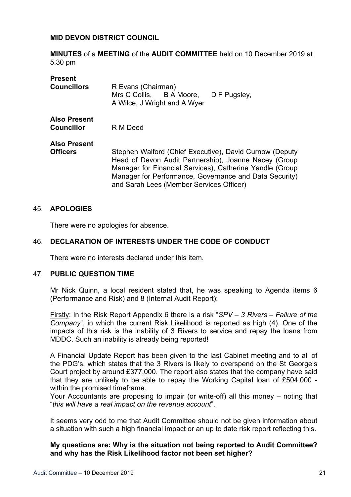### **MID DEVON DISTRICT COUNCIL**

**MINUTES** of a **MEETING** of the **AUDIT COMMITTEE** held on 10 December 2019 at 5.30 pm

| <b>Present</b>                           |                                                                                                                                                                              |
|------------------------------------------|------------------------------------------------------------------------------------------------------------------------------------------------------------------------------|
| <b>Councillors</b>                       | R Evans (Chairman)<br>Mrs C Collis, B A Moore,<br>D F Pugsley,                                                                                                               |
|                                          | A Wilce, J Wright and A Wyer                                                                                                                                                 |
| <b>Also Present</b><br><b>Councillor</b> | R M Deed                                                                                                                                                                     |
|                                          |                                                                                                                                                                              |
| <b>Also Present</b>                      |                                                                                                                                                                              |
| <b>Officers</b>                          | Stephen Walford (Chief Executive), David Curnow (Deputy<br>Head of Devon Audit Partnership), Joanne Nacey (Group<br>Manager for Financial Services), Catherine Yandle (Group |
|                                          | Manager for Performance, Governance and Data Security)<br>and Sarah Lees (Member Services Officer)                                                                           |

### 45. **APOLOGIES**

There were no apologies for absence.

### 46. **DECLARATION OF INTERESTS UNDER THE CODE OF CONDUCT**

There were no interests declared under this item.

#### 47. **PUBLIC QUESTION TIME**

Mr Nick Quinn, a local resident stated that, he was speaking to Agenda items 6 (Performance and Risk) and 8 (Internal Audit Report):

Firstly: In the Risk Report Appendix 6 there is a risk "*SPV – 3 Rivers – Failure of the Company*", in which the current Risk Likelihood is reported as high (4). One of the impacts of this risk is the inability of 3 Rivers to service and repay the loans from MDDC. Such an inability is already being reported!

A Financial Update Report has been given to the last Cabinet meeting and to all of the PDG's, which states that the 3 Rivers is likely to overspend on the St George's Court project by around £377,000. The report also states that the company have said that they are unlikely to be able to repay the Working Capital loan of £504,000 within the promised timeframe.

Your Accountants are proposing to impair (or write-off) all this money – noting that "*this will have a real impact on the revenue account*".

It seems very odd to me that Audit Committee should not be given information about a situation with such a high financial impact or an up to date risk report reflecting this.

**My questions are: Why is the situation not being reported to Audit Committee? and why has the Risk Likelihood factor not been set higher?**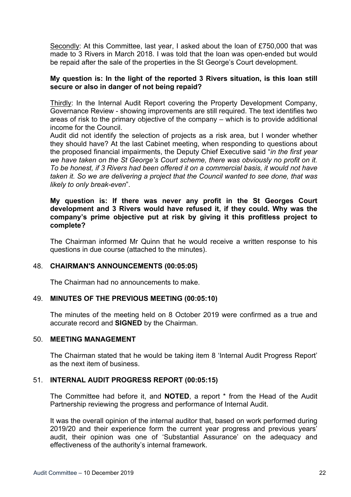Secondly: At this Committee, last year, I asked about the loan of £750,000 that was made to 3 Rivers in March 2018. I was told that the loan was open-ended but would be repaid after the sale of the properties in the St George's Court development.

#### **My question is: In the light of the reported 3 Rivers situation, is this loan still secure or also in danger of not being repaid?**

Thirdly: In the Internal Audit Report covering the Property Development Company, Governance Review - showing improvements are still required. The text identifies two areas of risk to the primary objective of the company – which is to provide additional income for the Council.

Audit did not identify the selection of projects as a risk area, but I wonder whether they should have? At the last Cabinet meeting, when responding to questions about the proposed financial impairments, the Deputy Chief Executive said "*in the first year we have taken on the St George's Court scheme, there was obviously no profit on it. To be honest, if 3 Rivers had been offered it on a commercial basis, it would not have taken it. So we are delivering a project that the Council wanted to see done, that was likely to only break-even*".

#### **My question is: If there was never any profit in the St Georges Court development and 3 Rivers would have refused it, if they could. Why was the company's prime objective put at risk by giving it this profitless project to complete?**

The Chairman informed Mr Quinn that he would receive a written response to his questions in due course (attached to the minutes).

### 48. **CHAIRMAN'S ANNOUNCEMENTS (00:05:05)**

The Chairman had no announcements to make.

### 49. **MINUTES OF THE PREVIOUS MEETING (00:05:10)**

The minutes of the meeting held on 8 October 2019 were confirmed as a true and accurate record and **SIGNED** by the Chairman.

## 50. **MEETING MANAGEMENT**

The Chairman stated that he would be taking item 8 'Internal Audit Progress Report' as the next item of business.

### 51. **INTERNAL AUDIT PROGRESS REPORT (00:05:15)**

The Committee had before it, and **NOTED**, a report \* from the Head of the Audit Partnership reviewing the progress and performance of Internal Audit.

It was the overall opinion of the internal auditor that, based on work performed during 2019/20 and their experience form the current year progress and previous years' audit, their opinion was one of 'Substantial Assurance' on the adequacy and effectiveness of the authority's internal framework.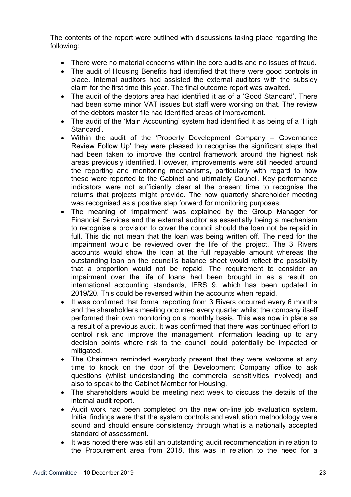The contents of the report were outlined with discussions taking place regarding the following:

- There were no material concerns within the core audits and no issues of fraud.
- The audit of Housing Benefits had identified that there were good controls in place. Internal auditors had assisted the external auditors with the subsidy claim for the first time this year. The final outcome report was awaited.
- The audit of the debtors area had identified it as of a 'Good Standard'. There had been some minor VAT issues but staff were working on that. The review of the debtors master file had identified areas of improvement.
- The audit of the 'Main Accounting' system had identified it as being of a 'High Standard'.
- Within the audit of the 'Property Development Company Governance Review Follow Up' they were pleased to recognise the significant steps that had been taken to improve the control framework around the highest risk areas previously identified. However, improvements were still needed around the reporting and monitoring mechanisms, particularly with regard to how these were reported to the Cabinet and ultimately Council. Key performance indicators were not sufficiently clear at the present time to recognise the returns that projects might provide. The now quarterly shareholder meeting was recognised as a positive step forward for monitoring purposes.
- The meaning of 'impairment' was explained by the Group Manager for Financial Services and the external auditor as essentially being a mechanism to recognise a provision to cover the council should the loan not be repaid in full. This did not mean that the loan was being written off. The need for the impairment would be reviewed over the life of the project. The 3 Rivers accounts would show the loan at the full repayable amount whereas the outstanding loan on the council's balance sheet would reflect the possibility that a proportion would not be repaid. The requirement to consider an impairment over the life of loans had been brought in as a result on international accounting standards, IFRS 9, which has been updated in 2019/20. This could be reversed within the accounts when repaid.
- It was confirmed that formal reporting from 3 Rivers occurred every 6 months and the shareholders meeting occurred every quarter whilst the company itself performed their own monitoring on a monthly basis. This was now in place as a result of a previous audit. It was confirmed that there was continued effort to control risk and improve the management information leading up to any decision points where risk to the council could potentially be impacted or mitigated.
- The Chairman reminded everybody present that they were welcome at any time to knock on the door of the Development Company office to ask questions (whilst understanding the commercial sensitivities involved) and also to speak to the Cabinet Member for Housing.
- The shareholders would be meeting next week to discuss the details of the internal audit report.
- Audit work had been completed on the new on-line job evaluation system. Initial findings were that the system controls and evaluation methodology were sound and should ensure consistency through what is a nationally accepted standard of assessment.
- It was noted there was still an outstanding audit recommendation in relation to the Procurement area from 2018, this was in relation to the need for a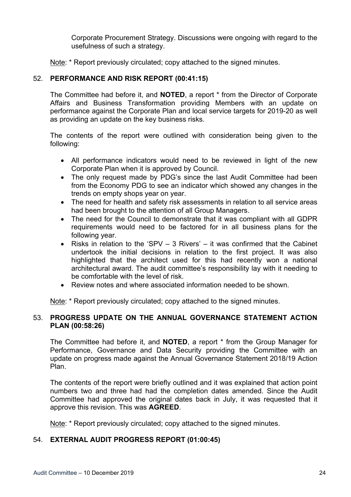Corporate Procurement Strategy. Discussions were ongoing with regard to the usefulness of such a strategy.

Note: \* Report previously circulated: copy attached to the signed minutes.

# 52. **PERFORMANCE AND RISK REPORT (00:41:15)**

The Committee had before it, and **NOTED**, a report \* from the Director of Corporate Affairs and Business Transformation providing Members with an update on performance against the Corporate Plan and local service targets for 2019-20 as well as providing an update on the key business risks.

The contents of the report were outlined with consideration being given to the following:

- All performance indicators would need to be reviewed in light of the new Corporate Plan when it is approved by Council.
- The only request made by PDG's since the last Audit Committee had been from the Economy PDG to see an indicator which showed any changes in the trends on empty shops year on year.
- The need for health and safety risk assessments in relation to all service areas had been brought to the attention of all Group Managers.
- The need for the Council to demonstrate that it was compliant with all GDPR requirements would need to be factored for in all business plans for the following year.
- Risks in relation to the 'SPV  $-$  3 Rivers'  $-$  it was confirmed that the Cabinet undertook the initial decisions in relation to the first project. It was also highlighted that the architect used for this had recently won a national architectural award. The audit committee's responsibility lay with it needing to be comfortable with the level of risk.
- Review notes and where associated information needed to be shown.

Note: \* Report previously circulated; copy attached to the signed minutes.

## 53. **PROGRESS UPDATE ON THE ANNUAL GOVERNANCE STATEMENT ACTION PLAN (00:58:26)**

The Committee had before it, and **NOTED**, a report \* from the Group Manager for Performance, Governance and Data Security providing the Committee with an update on progress made against the Annual Governance Statement 2018/19 Action Plan.

The contents of the report were briefly outlined and it was explained that action point numbers two and three had had the completion dates amended. Since the Audit Committee had approved the original dates back in July, it was requested that it approve this revision. This was **AGREED**.

Note: \* Report previously circulated; copy attached to the signed minutes.

# 54. **EXTERNAL AUDIT PROGRESS REPORT (01:00:45)**